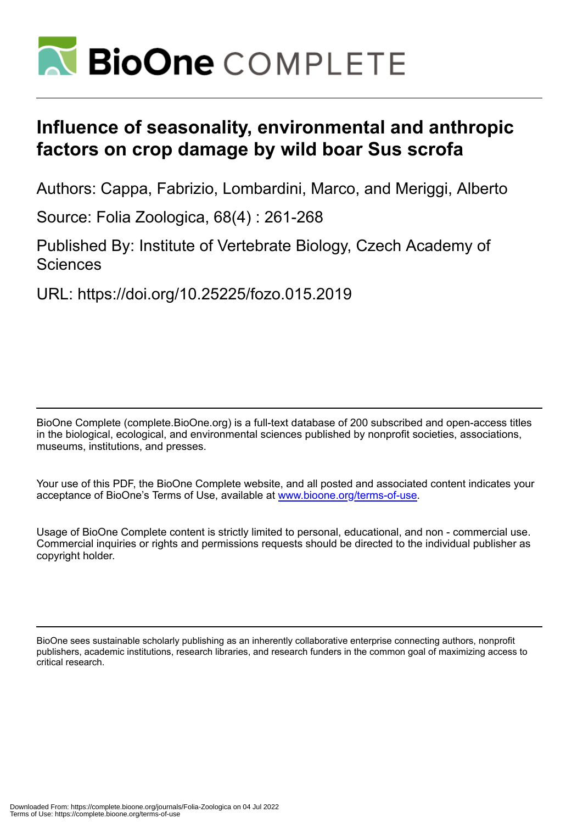

## **Influence of seasonality, environmental and anthropic factors on crop damage by wild boar Sus scrofa**

Authors: Cappa, Fabrizio, Lombardini, Marco, and Meriggi, Alberto

Source: Folia Zoologica, 68(4) : 261-268

Published By: Institute of Vertebrate Biology, Czech Academy of **Sciences** 

URL: https://doi.org/10.25225/fozo.015.2019

BioOne Complete (complete.BioOne.org) is a full-text database of 200 subscribed and open-access titles in the biological, ecological, and environmental sciences published by nonprofit societies, associations, museums, institutions, and presses.

Your use of this PDF, the BioOne Complete website, and all posted and associated content indicates your acceptance of BioOne's Terms of Use, available at www.bioone.org/terms-of-use.

Usage of BioOne Complete content is strictly limited to personal, educational, and non - commercial use. Commercial inquiries or rights and permissions requests should be directed to the individual publisher as copyright holder.

BioOne sees sustainable scholarly publishing as an inherently collaborative enterprise connecting authors, nonprofit publishers, academic institutions, research libraries, and research funders in the common goal of maximizing access to critical research.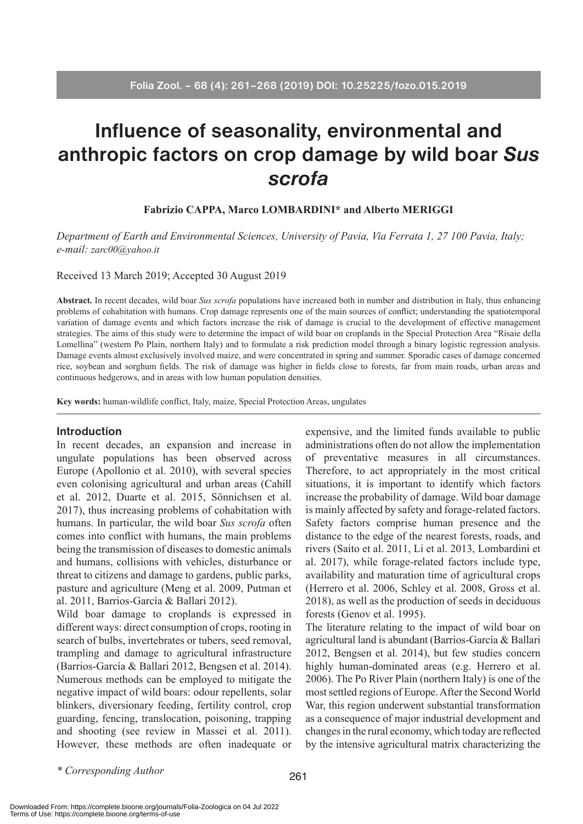# **Influence of seasonality, environmental and anthropic factors on crop damage by wild boar** *Sus scrofa*

#### **Fabrizio CAPPA, Marco LOMBARDINI\* and Alberto MERIGGI**

*Department of Earth and Environmental Sciences, University of Pavia, Via Ferrata 1, 27 100 Pavia, Italy; e-mail: zarc00@yahoo.it*

Received 13 March 2019; Accepted 30 August 2019

**Abstract.** In recent decades, wild boar *Sus scrofa* populations have increased both in number and distribution in Italy, thus enhancing problems of cohabitation with humans. Crop damage represents one of the main sources of conflict; understanding the spatiotemporal variation of damage events and which factors increase the risk of damage is crucial to the development of effective management strategies. The aims of this study were to determine the impact of wild boar on croplands in the Special Protection Area "Risaie della Lomellina" (western Po Plain, northern Italy) and to formulate a risk prediction model through a binary logistic regression analysis. Damage events almost exclusively involved maize, and were concentrated in spring and summer. Sporadic cases of damage concerned rice, soybean and sorghum fields. The risk of damage was higher in fields close to forests, far from main roads, urban areas and continuous hedgerows, and in areas with low human population densities.

**Key words:** human-wildlife conflict, Italy, maize, Special Protection Areas, ungulates

#### **Introduction**

In recent decades, an expansion and increase in ungulate populations has been observed across Europe (Apollonio et al. 2010), with several species even colonising agricultural and urban areas (Cahill et al. 2012, Duarte et al. 2015, Sönnichsen et al. 2017), thus increasing problems of cohabitation with humans. In particular, the wild boar *Sus scrofa* often comes into conflict with humans, the main problems being the transmission of diseases to domestic animals and humans, collisions with vehicles, disturbance or threat to citizens and damage to gardens, public parks, pasture and agriculture (Meng et al. 2009, Putman et al. 2011, Barrios-García & Ballari 2012).

Wild boar damage to croplands is expressed in different ways: direct consumption of crops, rooting in search of bulbs, invertebrates or tubers, seed removal, trampling and damage to agricultural infrastructure (Barrios-García & Ballari 2012, Bengsen et al. 2014). Numerous methods can be employed to mitigate the negative impact of wild boars: odour repellents, solar blinkers, diversionary feeding, fertility control, crop guarding, fencing, translocation, poisoning, trapping and shooting (see review in Massei et al. 2011). However, these methods are often inadequate or

expensive, and the limited funds available to public administrations often do not allow the implementation of preventative measures in all circumstances. Therefore, to act appropriately in the most critical situations, it is important to identify which factors increase the probability of damage. Wild boar damage is mainly affected by safety and forage-related factors. Safety factors comprise human presence and the distance to the edge of the nearest forests, roads, and rivers (Saito et al. 2011, Li et al. 2013, Lombardini et al. 2017), while forage-related factors include type, availability and maturation time of agricultural crops (Herrero et al. 2006, Schley et al. 2008, Gross et al. 2018), as well as the production of seeds in deciduous forests (Genov et al. 1995).

The literature relating to the impact of wild boar on agricultural land is abundant (Barrios-García & Ballari 2012, Bengsen et al. 2014), but few studies concern highly human-dominated areas (e.g. Herrero et al. 2006). The Po River Plain (northern Italy) is one of the most settled regions of Europe. After the Second World War, this region underwent substantial transformation as a consequence of major industrial development and changes in the rural economy, which today are reflected by the intensive agricultural matrix characterizing the

*\* Corresponding Author*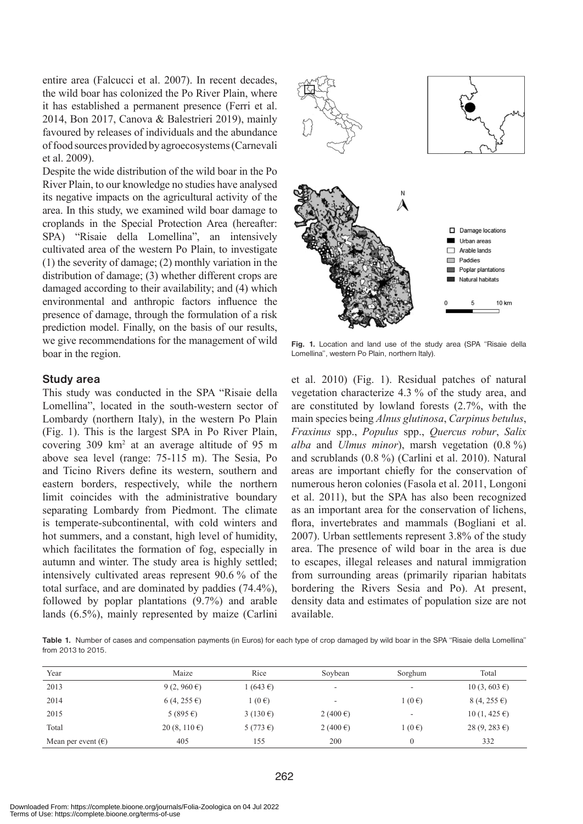entire area (Falcucci et al. 2007). In recent decades, the wild boar has colonized the Po River Plain, where it has established a permanent presence (Ferri et al. 2014, Bon 2017, Canova & Balestrieri 2019), mainly favoured by releases of individuals and the abundance of food sources provided by agroecosystems (Carnevali et al. 2009).

Despite the wide distribution of the wild boar in the Po River Plain, to our knowledge no studies have analysed its negative impacts on the agricultural activity of the area. In this study, we examined wild boar damage to croplands in the Special Protection Area (hereafter: SPA) "Risaie della Lomellina", an intensively cultivated area of the western Po Plain, to investigate (1) the severity of damage; (2) monthly variation in the distribution of damage; (3) whether different crops are damaged according to their availability; and (4) which environmental and anthropic factors influence the presence of damage, through the formulation of a risk prediction model. Finally, on the basis of our results, we give recommendations for the management of wild boar in the region.

#### **Study area**

This study was conducted in the SPA "Risaie della Lomellina", located in the south-western sector of Lombardy (northern Italy), in the western Po Plain (Fig. 1). This is the largest SPA in Po River Plain, covering 309 km2 at an average altitude of 95 m above sea level (range: 75-115 m). The Sesia, Po and Ticino Rivers define its western, southern and eastern borders, respectively, while the northern limit coincides with the administrative boundary separating Lombardy from Piedmont. The climate is temperate-subcontinental, with cold winters and hot summers, and a constant, high level of humidity, which facilitates the formation of fog, especially in autumn and winter. The study area is highly settled; intensively cultivated areas represent 90.6 % of the total surface, and are dominated by paddies (74.4%), followed by poplar plantations (9.7%) and arable lands (6.5%), mainly represented by maize (Carlini



**Fig. 1.** Location and land use of the study area (SPA "Risaie della Lomellina", western Po Plain, northern Italy).

et al. 2010) (Fig. 1). Residual patches of natural vegetation characterize 4.3 % of the study area, and are constituted by lowland forests (2.7%, with the main species being *Alnus glutinosa*, *Carpinus betulus*, *Fraxinus* spp., *Populus* spp., *Quercus robur*, *Salix alba* and *Ulmus minor*), marsh vegetation (0.8 %) and scrublands (0.8 %) (Carlini et al. 2010). Natural areas are important chiefly for the conservation of numerous heron colonies (Fasola et al. 2011, Longoni et al. 2011), but the SPA has also been recognized as an important area for the conservation of lichens, flora, invertebrates and mammals (Bogliani et al. 2007). Urban settlements represent 3.8% of the study area. The presence of wild boar in the area is due to escapes, illegal releases and natural immigration from surrounding areas (primarily riparian habitats bordering the Rivers Sesia and Po). At present, density data and estimates of population size are not available.

**Table 1.** Number of cases and compensation payments (in Euros) for each type of crop damaged by wild boar in the SPA "Risaie della Lomellina" from 2013 to 2015.

| Year                        | Maize                  | Rice                | Soybean             | Sorghum         | Total                          |
|-----------------------------|------------------------|---------------------|---------------------|-----------------|--------------------------------|
| 2013                        | 9 $(2, 960 \epsilon)$  | 1(643€)             | ۰                   | ۰               | $10(3, 603 \text{ } \epsilon)$ |
| 2014                        | $6(4, 255 \epsilon)$   | $1(0 \epsilon)$     | ۰                   | $1(0 \epsilon)$ | $8(4, 255 \epsilon)$           |
| 2015                        | 5 (895 €)              | 3 (130 $\epsilon$ ) | 2 (400 $\epsilon$ ) |                 | $10(1, 425 \epsilon)$          |
| Total                       | 20 $(8, 110 \epsilon)$ | 5 (773 €)           | 2 (400 $\epsilon$ ) | $1(0 \epsilon)$ | $28(9, 283 \epsilon)$          |
| Mean per event $(\epsilon)$ | 405                    | 155                 | 200                 |                 | 332                            |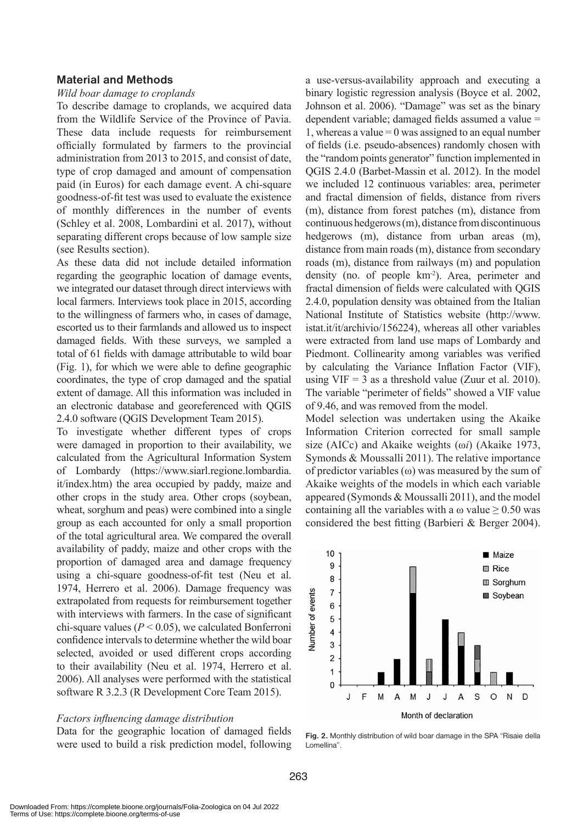## **Material and Methods**

#### *Wild boar damage to croplands*

To describe damage to croplands, we acquired data from the Wildlife Service of the Province of Pavia. These data include requests for reimbursement officially formulated by farmers to the provincial administration from 2013 to 2015, and consist of date, type of crop damaged and amount of compensation paid (in Euros) for each damage event. A chi-square goodness-of-fit test was used to evaluate the existence of monthly differences in the number of events (Schley et al. 2008, Lombardini et al. 2017), without separating different crops because of low sample size (see Results section).

As these data did not include detailed information regarding the geographic location of damage events, we integrated our dataset through direct interviews with local farmers. Interviews took place in 2015, according to the willingness of farmers who, in cases of damage, escorted us to their farmlands and allowed us to inspect damaged fields. With these surveys, we sampled a total of 61 fields with damage attributable to wild boar (Fig. 1), for which we were able to define geographic coordinates, the type of crop damaged and the spatial extent of damage. All this information was included in an electronic database and georeferenced with QGIS 2.4.0 software (QGIS Development Team 2015).

To investigate whether different types of crops were damaged in proportion to their availability, we calculated from the Agricultural Information System of Lombardy (https://www.siarl.regione.lombardia. it/index.htm) the area occupied by paddy, maize and other crops in the study area. Other crops (soybean, wheat, sorghum and peas) were combined into a single group as each accounted for only a small proportion of the total agricultural area. We compared the overall availability of paddy, maize and other crops with the proportion of damaged area and damage frequency using a chi-square goodness-of-fit test (Neu et al. 1974, Herrero et al. 2006). Damage frequency was extrapolated from requests for reimbursement together with interviews with farmers. In the case of significant chi-square values  $(P < 0.05)$ , we calculated Bonferroni confidence intervals to determine whether the wild boar selected, avoided or used different crops according to their availability (Neu et al. 1974, Herrero et al. 2006). All analyses were performed with the statistical software R 3.2.3 (R Development Core Team 2015).

#### *Factors influencing damage distribution*

Data for the geographic location of damaged fields were used to build a risk prediction model, following

a use-versus-availability approach and executing a binary logistic regression analysis (Boyce et al. 2002, Johnson et al. 2006). "Damage" was set as the binary dependent variable; damaged fields assumed a value = 1, whereas a value  $= 0$  was assigned to an equal number of fields (i.e. pseudo-absences) randomly chosen with the "random points generator" function implemented in QGIS 2.4.0 (Barbet-Massin et al. 2012). In the model we included 12 continuous variables: area, perimeter and fractal dimension of fields, distance from rivers (m), distance from forest patches (m), distance from continuous hedgerows (m), distance from discontinuous hedgerows (m), distance from urban areas (m), distance from main roads (m), distance from secondary roads (m), distance from railways (m) and population density (no. of people km-2). Area, perimeter and fractal dimension of fields were calculated with QGIS 2.4.0, population density was obtained from the Italian National Institute of Statistics website (http://www. istat.it/it/archivio/156224), whereas all other variables were extracted from land use maps of Lombardy and Piedmont. Collinearity among variables was verified by calculating the Variance Inflation Factor (VIF), using  $VIF = 3$  as a threshold value (Zuur et al. 2010). The variable "perimeter of fields" showed a VIF value of 9.46, and was removed from the model.

Model selection was undertaken using the Akaike Information Criterion corrected for small sample size (AICc) and Akaike weights (ω*i*) (Akaike 1973, Symonds & Moussalli 2011). The relative importance of predictor variables (ω) was measured by the sum of Akaike weights of the models in which each variable appeared (Symonds & Moussalli 2011), and the model containing all the variables with a  $\omega$  value  $\geq 0.50$  was considered the best fitting (Barbieri & Berger 2004).



**Fig. 2.** Monthly distribution of wild boar damage in the SPA "Risaie della Lomellina".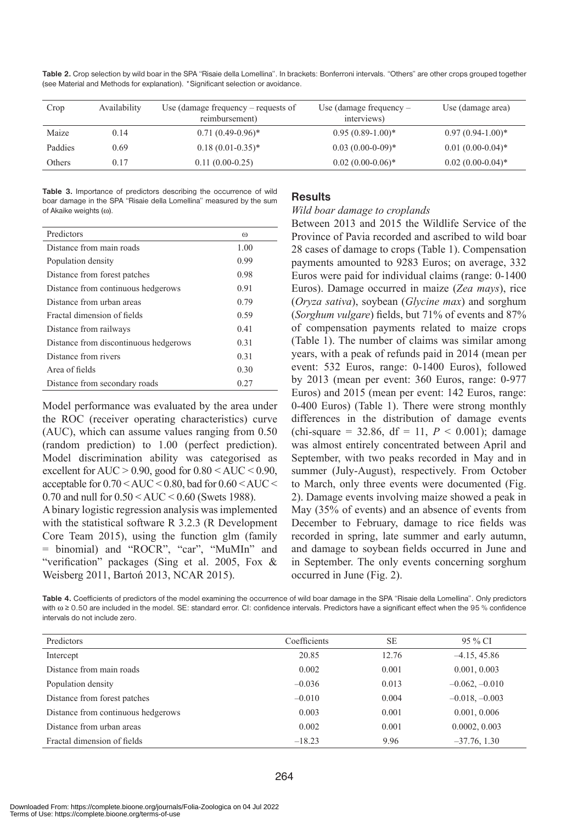**Table 2.** Crop selection by wild boar in the SPA "Risaie della Lomellina". In brackets: Bonferroni intervals. "Others" are other crops grouped together (see Material and Methods for explanation). \*Significant selection or avoidance.

| Crop    | Availability | Use (damage frequency – requests of<br>reimbursement) | Use (damage frequency $-$<br>interviews) | Use (damage area)   |
|---------|--------------|-------------------------------------------------------|------------------------------------------|---------------------|
| Maize   | 0.14         | $0.71(0.49-0.96)^*$                                   | $0.95(0.89-1.00)*$                       | $0.97(0.94-1.00)*$  |
| Paddies | 0.69         | $0.18(0.01-0.35)^*$                                   | $0.03(0.00-0-0.09)*$                     | $0.01(0.00-0.04)$ * |
| Others  | 0.17         | $0.11(0.00-0.25)$                                     | $0.02(0.00-0.06)^*$                      | $0.02(0.00-0.04)$ * |

**Table 3.** Importance of predictors describing the occurrence of wild boar damage in the SPA "Risaie della Lomellina" measured by the sum of Akaike weights (ω).

| Predictors                            | $\omega$ |
|---------------------------------------|----------|
| Distance from main roads              | 1.00     |
| Population density                    | 0.99     |
| Distance from forest patches          | 0.98     |
| Distance from continuous hedgerows    | 0.91     |
| Distance from urban areas             | 0.79     |
| Fractal dimension of fields           | 0.59     |
| Distance from railways                | 0.41     |
| Distance from discontinuous hedgerows | 0.31     |
| Distance from rivers                  | 0.31     |
| Area of fields                        | 0.30     |
| Distance from secondary roads         | 0.27     |

Model performance was evaluated by the area under the ROC (receiver operating characteristics) curve (AUC), which can assume values ranging from 0.50 (random prediction) to 1.00 (perfect prediction). Model discrimination ability was categorised as excellent for  $AUC > 0.90$ , good for  $0.80 < AUC < 0.90$ , acceptable for 0.70 < AUC < 0.80, bad for 0.60 < AUC < 0.70 and null for  $0.50 < AUC < 0.60$  (Swets 1988).

A binary logistic regression analysis was implemented with the statistical software R 3.2.3 (R Development Core Team 2015), using the function glm (family = binomial) and "ROCR", "car", "MuMIn" and "verification" packages (Sing et al. 2005, Fox & Weisberg 2011, Bartoń 2013, NCAR 2015).

## **Results**

## *Wild boar damage to croplands*

Between 2013 and 2015 the Wildlife Service of the Province of Pavia recorded and ascribed to wild boar 28 cases of damage to crops (Table 1). Compensation payments amounted to 9283 Euros; on average, 332 Euros were paid for individual claims (range: 0-1400 Euros). Damage occurred in maize (*Zea mays*), rice (*Oryza sativa*), soybean (*Glycine max*) and sorghum (*Sorghum vulgare*) fields, but 71% of events and 87% of compensation payments related to maize crops (Table 1). The number of claims was similar among years, with a peak of refunds paid in 2014 (mean per event: 532 Euros, range: 0-1400 Euros), followed by 2013 (mean per event: 360 Euros, range: 0-977 Euros) and 2015 (mean per event: 142 Euros, range: 0-400 Euros) (Table 1). There were strong monthly differences in the distribution of damage events (chi-square =  $32.86$ , df =  $11$ ,  $P < 0.001$ ); damage was almost entirely concentrated between April and September, with two peaks recorded in May and in summer (July-August), respectively. From October to March, only three events were documented (Fig. 2). Damage events involving maize showed a peak in May (35% of events) and an absence of events from December to February, damage to rice fields was recorded in spring, late summer and early autumn, and damage to soybean fields occurred in June and in September. The only events concerning sorghum occurred in June (Fig. 2).

**Table 4.** Coefficients of predictors of the model examining the occurrence of wild boar damage in the SPA "Risaie della Lomellina". Only predictors with ω ≥ 0.50 are included in the model. SE: standard error. CI: confidence intervals. Predictors have a significant effect when the 95 % confidence intervals do not include zero.

| Predictors                         | Coefficients | <b>SE</b> | 95 % CI          |
|------------------------------------|--------------|-----------|------------------|
| Intercept                          | 20.85        | 12.76     | $-4.15, 45.86$   |
| Distance from main roads           | 0.002        | 0.001     | 0.001, 0.003     |
| Population density                 | $-0.036$     | 0.013     | $-0.062, -0.010$ |
| Distance from forest patches       | $-0.010$     | 0.004     | $-0.018, -0.003$ |
| Distance from continuous hedgerows | 0.003        | 0.001     | 0.001, 0.006     |
| Distance from urban areas          | 0.002        | 0.001     | 0.0002, 0.003    |
| Fractal dimension of fields        | $-18.23$     | 9.96      | $-37.76, 1.30$   |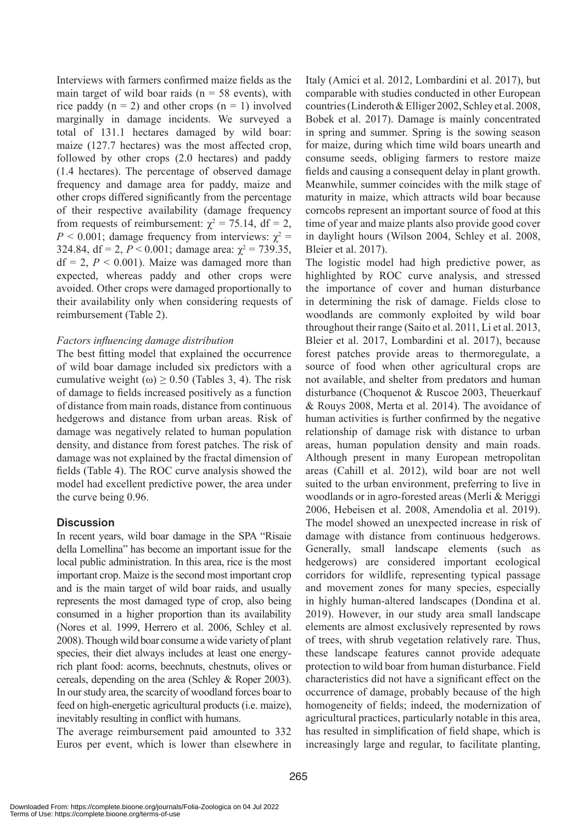Interviews with farmers confirmed maize fields as the main target of wild boar raids ( $n = 58$  events), with rice paddy  $(n = 2)$  and other crops  $(n = 1)$  involved marginally in damage incidents. We surveyed a total of 131.1 hectares damaged by wild boar: maize (127.7 hectares) was the most affected crop, followed by other crops (2.0 hectares) and paddy (1.4 hectares). The percentage of observed damage frequency and damage area for paddy, maize and other crops differed significantly from the percentage of their respective availability (damage frequency from requests of reimbursement:  $\chi^2 = 75.14$ , df = 2,  $P < 0.001$ ; damage frequency from interviews:  $\chi^2 =$ 324.84, df = 2,  $P < 0.001$ ; damage area:  $\chi^2 = 739.35$ ,  $df = 2$ ,  $P < 0.001$ ). Maize was damaged more than expected, whereas paddy and other crops were avoided. Other crops were damaged proportionally to their availability only when considering requests of reimbursement (Table 2).

## *Factors influencing damage distribution*

The best fitting model that explained the occurrence of wild boar damage included six predictors with a cumulative weight ( $\omega$ )  $\geq$  0.50 (Tables 3, 4). The risk of damage to fields increased positively as a function of distance from main roads, distance from continuous hedgerows and distance from urban areas. Risk of damage was negatively related to human population density, and distance from forest patches. The risk of damage was not explained by the fractal dimension of fields (Table 4). The ROC curve analysis showed the model had excellent predictive power, the area under the curve being 0.96.

## **Discussion**

In recent years, wild boar damage in the SPA "Risaie della Lomellina" has become an important issue for the local public administration. In this area, rice is the most important crop. Maize is the second most important crop and is the main target of wild boar raids, and usually represents the most damaged type of crop, also being consumed in a higher proportion than its availability (Nores et al. 1999, Herrero et al. 2006, Schley et al. 2008). Though wild boar consume a wide variety of plant species, their diet always includes at least one energyrich plant food: acorns, beechnuts, chestnuts, olives or cereals, depending on the area (Schley & Roper 2003). In our study area, the scarcity of woodland forces boar to feed on high-energetic agricultural products (i.e. maize), inevitably resulting in conflict with humans.

The average reimbursement paid amounted to 332 Euros per event, which is lower than elsewhere in Italy (Amici et al. 2012, Lombardini et al. 2017), but comparable with studies conducted in other European countries (Linderoth & Elliger 2002, Schley et al. 2008, Bobek et al. 2017). Damage is mainly concentrated in spring and summer. Spring is the sowing season for maize, during which time wild boars unearth and consume seeds, obliging farmers to restore maize fields and causing a consequent delay in plant growth. Meanwhile, summer coincides with the milk stage of maturity in maize, which attracts wild boar because corncobs represent an important source of food at this time of year and maize plants also provide good cover in daylight hours (Wilson 2004, Schley et al. 2008, Bleier et al. 2017).

The logistic model had high predictive power, as highlighted by ROC curve analysis, and stressed the importance of cover and human disturbance in determining the risk of damage. Fields close to woodlands are commonly exploited by wild boar throughout their range (Saito et al. 2011, Li et al. 2013, Bleier et al. 2017, Lombardini et al. 2017), because forest patches provide areas to thermoregulate, a source of food when other agricultural crops are not available, and shelter from predators and human disturbance (Choquenot & Ruscoe 2003, Theuerkauf & Rouys 2008, Merta et al. 2014). The avoidance of human activities is further confirmed by the negative relationship of damage risk with distance to urban areas, human population density and main roads. Although present in many European metropolitan areas (Cahill et al. 2012), wild boar are not well suited to the urban environment, preferring to live in woodlands or in agro-forested areas (Merli & Meriggi 2006, Hebeisen et al. 2008, Amendolia et al. 2019). The model showed an unexpected increase in risk of damage with distance from continuous hedgerows. Generally, small landscape elements (such as hedgerows) are considered important ecological corridors for wildlife, representing typical passage and movement zones for many species, especially in highly human-altered landscapes (Dondina et al. 2019). However, in our study area small landscape elements are almost exclusively represented by rows of trees, with shrub vegetation relatively rare. Thus, these landscape features cannot provide adequate protection to wild boar from human disturbance. Field characteristics did not have a significant effect on the occurrence of damage, probably because of the high homogeneity of fields; indeed, the modernization of agricultural practices, particularly notable in this area, has resulted in simplification of field shape, which is increasingly large and regular, to facilitate planting,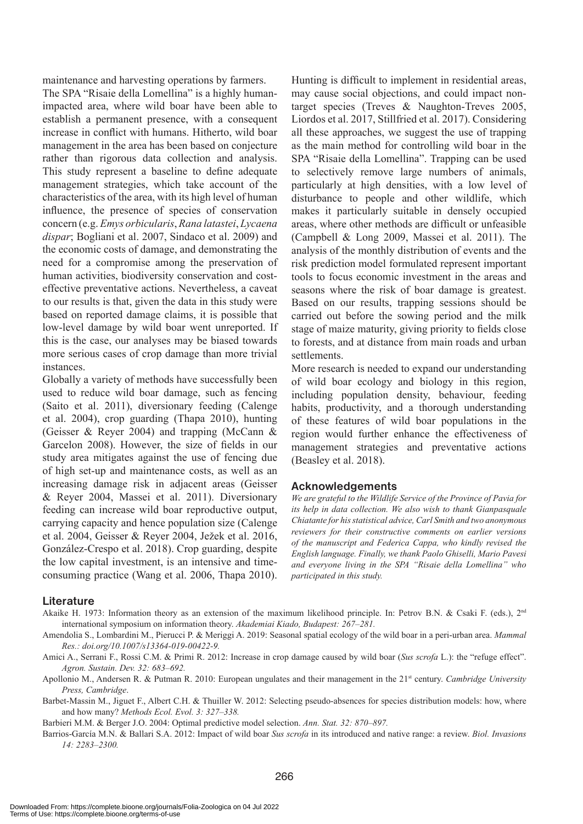maintenance and harvesting operations by farmers.

The SPA "Risaie della Lomellina" is a highly humanimpacted area, where wild boar have been able to establish a permanent presence, with a consequent increase in conflict with humans. Hitherto, wild boar management in the area has been based on conjecture rather than rigorous data collection and analysis. This study represent a baseline to define adequate management strategies, which take account of the characteristics of the area, with its high level of human influence, the presence of species of conservation concern (e.g. *Emys orbicularis*, *Rana latastei*, *Lycaena dispar*; Bogliani et al. 2007, Sindaco et al. 2009) and the economic costs of damage, and demonstrating the need for a compromise among the preservation of human activities, biodiversity conservation and costeffective preventative actions. Nevertheless, a caveat to our results is that, given the data in this study were based on reported damage claims, it is possible that low-level damage by wild boar went unreported. If this is the case, our analyses may be biased towards more serious cases of crop damage than more trivial instances.

Globally a variety of methods have successfully been used to reduce wild boar damage, such as fencing (Saito et al. 2011), diversionary feeding (Calenge et al. 2004), crop guarding (Thapa 2010), hunting (Geisser & Reyer 2004) and trapping (McCann & Garcelon 2008). However, the size of fields in our study area mitigates against the use of fencing due of high set-up and maintenance costs, as well as an increasing damage risk in adjacent areas (Geisser & Reyer 2004, Massei et al. 2011). Diversionary feeding can increase wild boar reproductive output, carrying capacity and hence population size (Calenge et al. 2004, Geisser & Reyer 2004, Ježek et al. 2016, González-Crespo et al. 2018). Crop guarding, despite the low capital investment, is an intensive and timeconsuming practice (Wang et al. 2006, Thapa 2010).

Hunting is difficult to implement in residential areas, may cause social objections, and could impact nontarget species (Treves & Naughton-Treves 2005, Liordos et al. 2017, Stillfried et al. 2017). Considering all these approaches, we suggest the use of trapping as the main method for controlling wild boar in the SPA "Risaie della Lomellina". Trapping can be used to selectively remove large numbers of animals, particularly at high densities, with a low level of disturbance to people and other wildlife, which makes it particularly suitable in densely occupied areas, where other methods are difficult or unfeasible (Campbell & Long 2009, Massei et al. 2011). The analysis of the monthly distribution of events and the risk prediction model formulated represent important tools to focus economic investment in the areas and seasons where the risk of boar damage is greatest. Based on our results, trapping sessions should be carried out before the sowing period and the milk stage of maize maturity, giving priority to fields close to forests, and at distance from main roads and urban settlements.

More research is needed to expand our understanding of wild boar ecology and biology in this region, including population density, behaviour, feeding habits, productivity, and a thorough understanding of these features of wild boar populations in the region would further enhance the effectiveness of management strategies and preventative actions (Beasley et al. 2018).

#### **Acknowledgements**

*We are grateful to the Wildlife Service of the Province of Pavia for its help in data collection. We also wish to thank Gianpasquale Chiatante for his statistical advice, Carl Smith and two anonymous reviewers for their constructive comments on earlier versions of the manuscript and Federica Cappa, who kindly revised the English language. Finally, we thank Paolo Ghiselli, Mario Pavesi and everyone living in the SPA "Risaie della Lomellina" who participated in this study.*

#### **Literature**

- Akaike H. 1973: Information theory as an extension of the maximum likelihood principle. In: Petrov B.N. & Csaki F. (eds.), 2nd international symposium on information theory. *Akademiai Kiado, Budapest: 267–281.*
- Amendolia S., Lombardini M., Pierucci P. & Meriggi A. 2019: Seasonal spatial ecology of the wild boar in a peri-urban area. *Mammal Res.: doi.org/10.1007/s13364-019-00422-9.*
- Amici A., Serrani F., Rossi C.M. & Primi R. 2012: Increase in crop damage caused by wild boar (*Sus scrofa* L.): the "refuge effect". *Agron. Sustain. Dev. 32: 683–692.*
- Apollonio M., Andersen R. & Putman R. 2010: European ungulates and their management in the 21<sup>st</sup> century. *Cambridge University Press, Cambridge*.
- Barbet-Massin M., Jiguet F., Albert C.H. & Thuiller W. 2012: Selecting pseudo-absences for species distribution models: how, where and how many? *Methods Ecol. Evol. 3: 327–338.*
- Barbieri M.M. & Berger J.O. 2004: Optimal predictive model selection. *Ann. Stat. 32: 870–897.*
- Barrios-García M.N. & Ballari S.A. 2012: Impact of wild boar *Sus scrofa* in its introduced and native range: a review. *Biol. Invasions 14: 2283–2300.*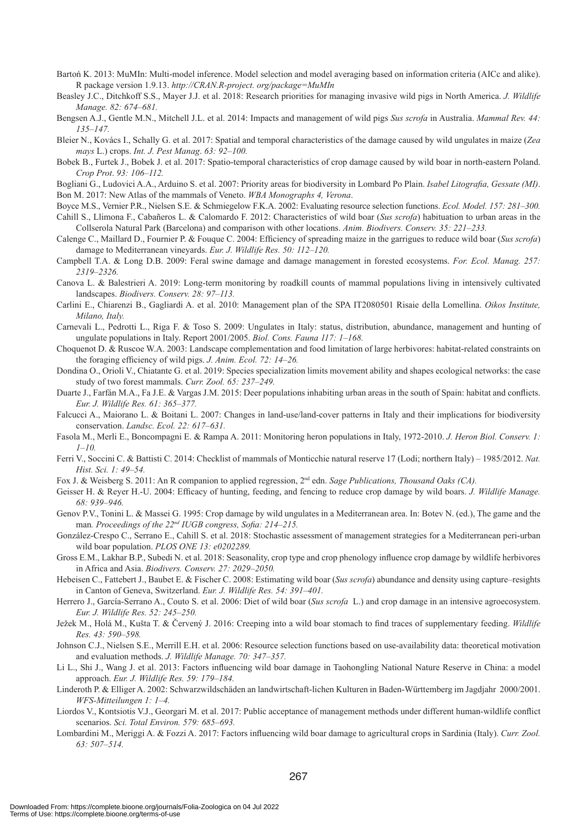- Bartoń K. 2013: MuMIn: Multi-model inference. Model selection and model averaging based on information criteria (AICc and alike). R package version 1.9.13. *http://CRAN.R-project. org/package=MuMIn*
- Beasley J.C., Ditchkoff S.S., Mayer J.J. et al. 2018: Research priorities for managing invasive wild pigs in North America. *J. Wildlife Manage. 82: 674–681.*
- Bengsen A.J., Gentle M.N., Mitchell J.L. et al. 2014: Impacts and management of wild pigs *Sus scrofa* in Australia. *Mammal Rev. 44: 135–147.*
- Bleier N., Kovács I., Schally G. et al. 2017: Spatial and temporal characteristics of the damage caused by wild ungulates in maize (*Zea mays* L.) crops. *Int. J. Pest Manag*. *63: 92–100.*
- Bobek B., Furtek J., Bobek J. et al. 2017: Spatio-temporal characteristics of crop damage caused by wild boar in north-eastern Poland. *Crop Prot*. *93: 106–112.*
- Bogliani G., Ludovici A.A., Arduino S. et al. 2007: Priority areas for biodiversity in Lombard Po Plain. *Isabel Litografia, Gessate (MI)*. Bon M. 2017: New Atlas of the mammals of Veneto. *WBA Monographs 4, Verona*.
- Boyce M.S., Vernier P.R., Nielsen S.E. & Schmiegelow F.K.A. 2002: Evaluating resource selection functions. *Ecol. Model. 157: 281–300.*
- Cahill S., Llimona F., Cabañeros L. & Calomardo F. 2012: Characteristics of wild boar (*Sus scrofa*) habituation to urban areas in the Collserola Natural Park (Barcelona) and comparison with other locations. *Anim. Biodivers. Conserv. 35: 221–233.*
- Calenge C., Maillard D., Fournier P. & Fouque C. 2004: Efficiency of spreading maize in the garrigues to reduce wild boar (*Sus scrofa*) damage to Mediterranean vineyards. *Eur. J. Wildlife Res. 50: 112–120.*
- Campbell T.A. & Long D.B. 2009: Feral swine damage and damage management in forested ecosystems. *For. Ecol. Manag. 257: 2319–2326.*
- Canova L. & Balestrieri A. 2019: Long-term monitoring by roadkill counts of mammal populations living in intensively cultivated landscapes. *Biodivers. Conserv. 28: 97–113.*
- Carlini E., Chiarenzi B., Gagliardi A. et al. 2010: Management plan of the SPA IT2080501 Risaie della Lomellina. *Oikos Institute, Milano, Italy.*
- Carnevali L., Pedrotti L., Riga F. & Toso S. 2009: Ungulates in Italy: status, distribution, abundance, management and hunting of ungulate populations in Italy. Report 2001/2005. *Biol. Cons. Fauna 117: 1–168.*
- Choquenot D. & Ruscoe W.A. 2003: Landscape complementation and food limitation of large herbivores: habitat-related constraints on the foraging efficiency of wild pigs. *J. Anim. Ecol. 72: 14–26.*
- Dondina O., Orioli V., Chiatante G. et al. 2019: Species specialization limits movement ability and shapes ecological networks: the case study of two forest mammals. *Curr. Zool. 65: 237–249.*
- Duarte J., Farfán M.A., Fa J.E. & Vargas J.M. 2015: Deer populations inhabiting urban areas in the south of Spain: habitat and conflicts. *Eur. J. Wildlife Res. 61: 365–377.*
- Falcucci A., Maiorano L. & Boitani L. 2007: Changes in land-use/land-cover patterns in Italy and their implications for biodiversity conservation. *Landsc. Ecol. 22: 617–631.*
- Fasola M., Merli E., Boncompagni E. & Rampa A. 2011: Monitoring heron populations in Italy, 1972-2010. *J. Heron Biol. Conserv. 1: 1–10.*
- Ferri V., Soccini C. & Battisti C. 2014: Checklist of mammals of Monticchie natural reserve 17 (Lodi; northern Italy) 1985/2012. *Nat. Hist. Sci. 1: 49–54.*
- Fox J. & Weisberg S. 2011: An R companion to applied regression, 2<sup>nd</sup> edn. *Sage Publications, Thousand Oaks (CA)*.
- Geisser H. & Reyer H.-U. 2004: Efficacy of hunting, feeding, and fencing to reduce crop damage by wild boars. *J. Wildlife Manage. 68: 939–946.*
- Genov P.V., Tonini L. & Massei G. 1995: Crop damage by wild ungulates in a Mediterranean area. In: Botev N. (ed.), The game and the man*. Proceedings of the 22nd IUGB congress, Sofia: 214–215.*
- González-Crespo C., Serrano E., Cahill S. et al. 2018: Stochastic assessment of management strategies for a Mediterranean peri-urban wild boar population. *PLOS ONE 13: e0202289.*
- Gross E.M., Lakhar B.P., Subedi N. et al. 2018: Seasonality, crop type and crop phenology influence crop damage by wildlife herbivores in Africa and Asia. *Biodivers. Conserv. 27: 2029–2050.*
- Hebeisen C., Fattebert J., Baubet E. & Fischer C. 2008: Estimating wild boar (*Sus scrofa*) abundance and density using capture–resights in Canton of Geneva, Switzerland. *Eur. J. Wildlife Res. 54: 391–401.*
- Herrero J., García-Serrano A., Couto S. et al. 2006: Diet of wild boar (*Sus scrofa* L.) and crop damage in an intensive agroecosystem. *Eur. J. Wildlife Res. 52: 245–250.*
- Ježek M., Holá M., Kušta T. & Červený J. 2016: Creeping into a wild boar stomach to find traces of supplementary feeding. *Wildlife Res. 43: 590–598.*
- Johnson C.J., Nielsen S.E., Merrill E.H. et al. 2006: Resource selection functions based on use-availability data: theoretical motivation and evaluation methods. *J. Wildlife Manage. 70: 347–357.*
- Li L., Shi J., Wang J. et al. 2013: Factors influencing wild boar damage in Taohongling National Nature Reserve in China: a model approach. *Eur. J. Wildlife Res. 59: 179–184.*
- Linderoth P. & Elliger A. 2002: Schwarzwildschäden an landwirtschaft-lichen Kulturen in Baden-Württemberg im Jagdjahr 2000/2001. *WFS-Mitteilungen 1: 1–4.*
- Liordos V., Kontsiotis V.J., Georgari M. et al. 2017: Public acceptance of management methods under different human-wildlife conflict scenarios. *Sci. Total Environ. 579: 685–693.*
- Lombardini M., Meriggi A. & Fozzi A. 2017: Factors influencing wild boar damage to agricultural crops in Sardinia (Italy). *Curr. Zool. 63: 507–514.*